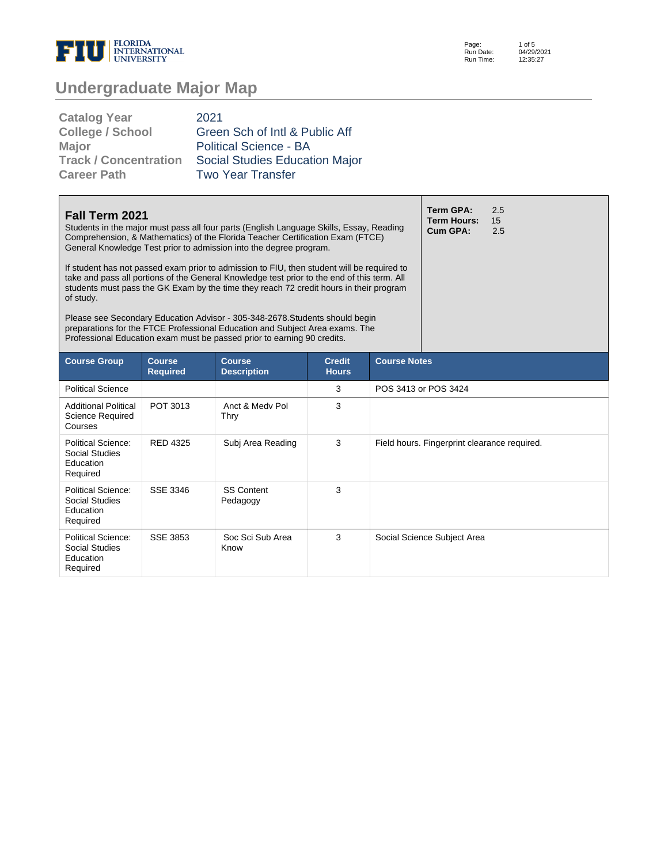

Page: Run Date: Run Time: 1 of 5 04/29/2021 12:35:27

# **Undergraduate Major Map**

| <b>Catalog Year</b>          | 2021                                  |
|------------------------------|---------------------------------------|
| <b>College / School</b>      | Green Sch of Intl & Public Aff        |
| <b>Major</b>                 | <b>Political Science - BA</b>         |
| <b>Track / Concentration</b> | <b>Social Studies Education Major</b> |
| <b>Career Path</b>           | <b>Two Year Transfer</b>              |

| Fall Term 2021<br>Students in the major must pass all four parts (English Language Skills, Essay, Reading<br>Comprehension, & Mathematics) of the Florida Teacher Certification Exam (FTCE)<br>General Knowledge Test prior to admission into the degree program.<br>If student has not passed exam prior to admission to FIU, then student will be required to<br>take and pass all portions of the General Knowledge test prior to the end of this term. All<br>students must pass the GK Exam by the time they reach 72 credit hours in their program<br>of study.<br>Please see Secondary Education Advisor - 305-348-2678. Students should begin<br>preparations for the FTCE Professional Education and Subject Area exams. The<br>Professional Education exam must be passed prior to earning 90 credits. |                                  |                                     |                               |                     | <b>Term GPA:</b><br><b>Term Hours:</b><br>Cum GPA: | 2.5<br>15<br>2.5 |
|------------------------------------------------------------------------------------------------------------------------------------------------------------------------------------------------------------------------------------------------------------------------------------------------------------------------------------------------------------------------------------------------------------------------------------------------------------------------------------------------------------------------------------------------------------------------------------------------------------------------------------------------------------------------------------------------------------------------------------------------------------------------------------------------------------------|----------------------------------|-------------------------------------|-------------------------------|---------------------|----------------------------------------------------|------------------|
| <b>Course Group</b>                                                                                                                                                                                                                                                                                                                                                                                                                                                                                                                                                                                                                                                                                                                                                                                              | <b>Course</b><br><b>Required</b> | <b>Course</b><br><b>Description</b> | <b>Credit</b><br><b>Hours</b> | <b>Course Notes</b> |                                                    |                  |
| <b>Political Science</b>                                                                                                                                                                                                                                                                                                                                                                                                                                                                                                                                                                                                                                                                                                                                                                                         |                                  |                                     | 3                             |                     | POS 3413 or POS 3424                               |                  |
| <b>Additional Political</b><br>Science Required<br>Courses                                                                                                                                                                                                                                                                                                                                                                                                                                                                                                                                                                                                                                                                                                                                                       | POT 3013                         | Anct & Medy Pol<br>Thry             | 3                             |                     |                                                    |                  |
| Political Science:<br>Social Studies<br>Education<br>Required                                                                                                                                                                                                                                                                                                                                                                                                                                                                                                                                                                                                                                                                                                                                                    | <b>RED 4325</b>                  | Subj Area Reading                   | 3                             |                     | Field hours. Fingerprint clearance required.       |                  |
| Political Science:<br>Social Studies<br>Education<br>Required                                                                                                                                                                                                                                                                                                                                                                                                                                                                                                                                                                                                                                                                                                                                                    | SSF 3346                         | <b>SS Content</b><br>Pedagogy       | 3                             |                     |                                                    |                  |
| Political Science:<br><b>Social Studies</b><br>Education<br>Required                                                                                                                                                                                                                                                                                                                                                                                                                                                                                                                                                                                                                                                                                                                                             | <b>SSE 3853</b>                  | Soc Sci Sub Area<br>Know            | 3                             |                     | Social Science Subject Area                        |                  |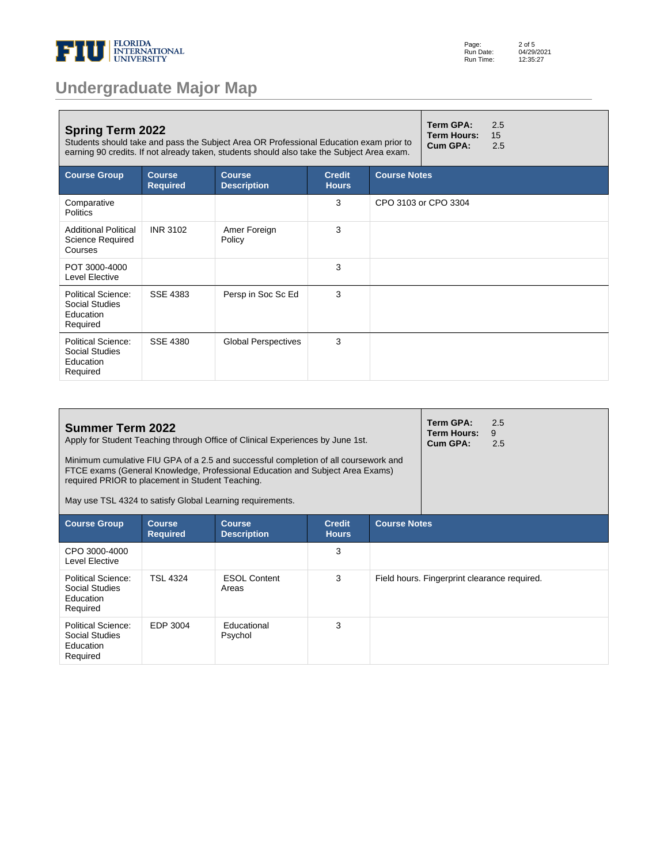

| <b>Undergraduate Major Map</b> |  |  |
|--------------------------------|--|--|
|--------------------------------|--|--|

| Term GPA:<br>2.5<br><b>Spring Term 2022</b><br>15<br><b>Term Hours:</b><br>Students should take and pass the Subject Area OR Professional Education exam prior to<br>Cum GPA:<br>2.5<br>earning 90 credits. If not already taken, students should also take the Subject Area exam. |                                  |                                     |                               |                     |                      |  |
|------------------------------------------------------------------------------------------------------------------------------------------------------------------------------------------------------------------------------------------------------------------------------------|----------------------------------|-------------------------------------|-------------------------------|---------------------|----------------------|--|
| <b>Course Group</b>                                                                                                                                                                                                                                                                | <b>Course</b><br><b>Required</b> | <b>Course</b><br><b>Description</b> | <b>Credit</b><br><b>Hours</b> | <b>Course Notes</b> |                      |  |
| Comparative<br><b>Politics</b>                                                                                                                                                                                                                                                     |                                  |                                     | 3                             |                     | CPO 3103 or CPO 3304 |  |
| <b>Additional Political</b><br>Science Required<br>Courses                                                                                                                                                                                                                         | <b>INR 3102</b>                  | Amer Foreign<br>Policy              | 3                             |                     |                      |  |
| POT 3000-4000<br>Level Elective                                                                                                                                                                                                                                                    |                                  |                                     | 3                             |                     |                      |  |
| <b>Political Science:</b><br>Social Studies<br>Education<br>Required                                                                                                                                                                                                               | <b>SSE 4383</b>                  | Persp in Soc Sc Ed                  | 3                             |                     |                      |  |
| Political Science:<br>Social Studies<br>Education<br>Required                                                                                                                                                                                                                      | SSE 4380                         | <b>Global Perspectives</b>          | 3                             |                     |                      |  |

| <b>Summer Term 2022</b><br>Apply for Student Teaching through Office of Clinical Experiences by June 1st.<br>Minimum cumulative FIU GPA of a 2.5 and successful completion of all coursework and<br>FTCE exams (General Knowledge, Professional Education and Subject Area Exams)<br>required PRIOR to placement in Student Teaching.<br>May use TSL 4324 to satisfy Global Learning requirements. |                                  |                                     |                               |                     | Term GPA:<br>Term Hours:<br>Cum GPA:         | 2.5<br>9<br>2.5 |
|----------------------------------------------------------------------------------------------------------------------------------------------------------------------------------------------------------------------------------------------------------------------------------------------------------------------------------------------------------------------------------------------------|----------------------------------|-------------------------------------|-------------------------------|---------------------|----------------------------------------------|-----------------|
| <b>Course Group</b>                                                                                                                                                                                                                                                                                                                                                                                | <b>Course</b><br><b>Required</b> | <b>Course</b><br><b>Description</b> | <b>Credit</b><br><b>Hours</b> | <b>Course Notes</b> |                                              |                 |
| CPO 3000-4000<br>Level Elective                                                                                                                                                                                                                                                                                                                                                                    |                                  |                                     | 3                             |                     |                                              |                 |
| Political Science:<br>Social Studies<br>Education<br>Required                                                                                                                                                                                                                                                                                                                                      | <b>TSL 4324</b>                  | <b>ESOL Content</b><br>Areas        | 3                             |                     | Field hours. Fingerprint clearance required. |                 |
| Political Science:<br>Social Studies<br>Education<br>Required                                                                                                                                                                                                                                                                                                                                      | EDP 3004                         | <b>Educational</b><br>Psychol       | 3                             |                     |                                              |                 |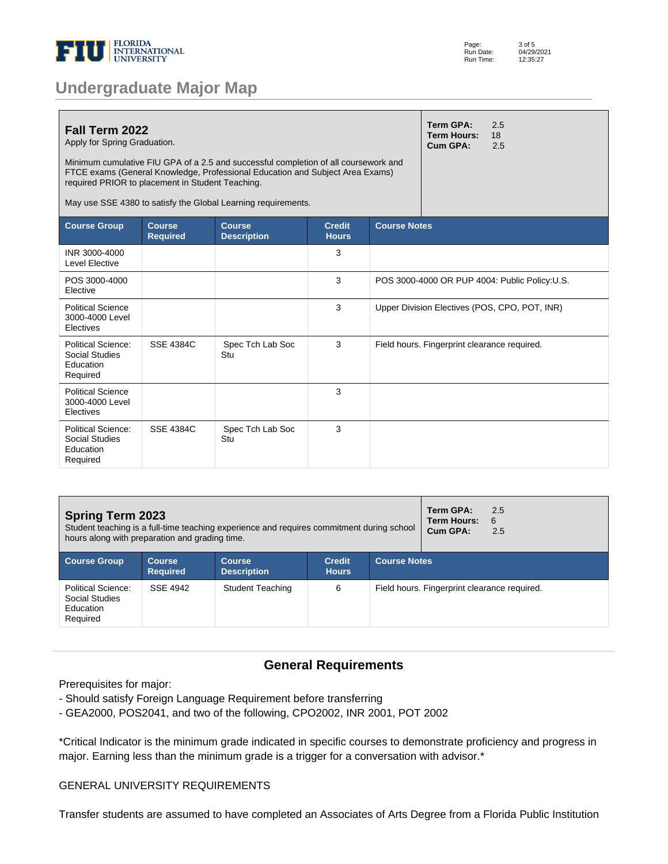

|  |  | <b>Undergraduate Major Map</b> |  |
|--|--|--------------------------------|--|
|  |  |                                |  |

| Fall Term 2022<br>Apply for Spring Graduation.<br>Minimum cumulative FIU GPA of a 2.5 and successful completion of all coursework and<br>FTCE exams (General Knowledge, Professional Education and Subject Area Exams)<br>required PRIOR to placement in Student Teaching.<br>May use SSE 4380 to satisfy the Global Learning requirements. |                                  | <b>Term GPA:</b><br><b>Term Hours:</b><br>Cum GPA: | 2.5<br>18<br>2.5              |                                                |                                              |                                               |
|---------------------------------------------------------------------------------------------------------------------------------------------------------------------------------------------------------------------------------------------------------------------------------------------------------------------------------------------|----------------------------------|----------------------------------------------------|-------------------------------|------------------------------------------------|----------------------------------------------|-----------------------------------------------|
| <b>Course Group</b>                                                                                                                                                                                                                                                                                                                         | <b>Course</b><br><b>Required</b> | <b>Course</b><br><b>Description</b>                | <b>Credit</b><br><b>Hours</b> | <b>Course Notes</b>                            |                                              |                                               |
| INR 3000-4000<br><b>Level Elective</b>                                                                                                                                                                                                                                                                                                      |                                  |                                                    | 3                             |                                                |                                              |                                               |
| POS 3000-4000<br>Elective                                                                                                                                                                                                                                                                                                                   |                                  |                                                    | 3                             | POS 3000-4000 OR PUP 4004: Public Policy: U.S. |                                              |                                               |
| <b>Political Science</b><br>3000-4000 Level<br>Electives                                                                                                                                                                                                                                                                                    |                                  |                                                    | 3                             |                                                |                                              | Upper Division Electives (POS, CPO, POT, INR) |
| Political Science:<br>Social Studies<br>Education<br>Required                                                                                                                                                                                                                                                                               | <b>SSE 4384C</b>                 | Spec Tch Lab Soc<br>Stu                            | 3                             |                                                | Field hours. Fingerprint clearance required. |                                               |
| <b>Political Science</b><br>3000-4000 Level<br>Electives                                                                                                                                                                                                                                                                                    |                                  |                                                    | 3                             |                                                |                                              |                                               |
| Political Science:<br>Social Studies<br>Education<br>Required                                                                                                                                                                                                                                                                               | <b>SSE 4384C</b>                 | Spec Tch Lab Soc<br>Stu                            | 3                             |                                                |                                              |                                               |

| <b>Spring Term 2023</b><br>Student teaching is a full-time teaching experience and requires commitment during school<br>hours along with preparation and grading time. |                                  |                                     |                               |                     | Term GPA:<br>Term Hours:<br>Cum GPA:         | 2.5<br>6<br>2.5 |
|------------------------------------------------------------------------------------------------------------------------------------------------------------------------|----------------------------------|-------------------------------------|-------------------------------|---------------------|----------------------------------------------|-----------------|
| <b>Course Group</b>                                                                                                                                                    | <b>Course</b><br><b>Required</b> | <b>Course</b><br><b>Description</b> | <b>Credit</b><br><b>Hours</b> | <b>Course Notes</b> |                                              |                 |
| Political Science:<br>Social Studies<br>Education<br>Required                                                                                                          | SSE 4942                         | <b>Student Teaching</b>             | 6                             |                     | Field hours. Fingerprint clearance required. |                 |

#### **General Requirements**

Prerequisites for major:

- Should satisfy Foreign Language Requirement before transferring
- GEA2000, POS2041, and two of the following, CPO2002, INR 2001, POT 2002

\*Critical Indicator is the minimum grade indicated in specific courses to demonstrate proficiency and progress in major. Earning less than the minimum grade is a trigger for a conversation with advisor.\*

#### GENERAL UNIVERSITY REQUIREMENTS

Transfer students are assumed to have completed an Associates of Arts Degree from a Florida Public Institution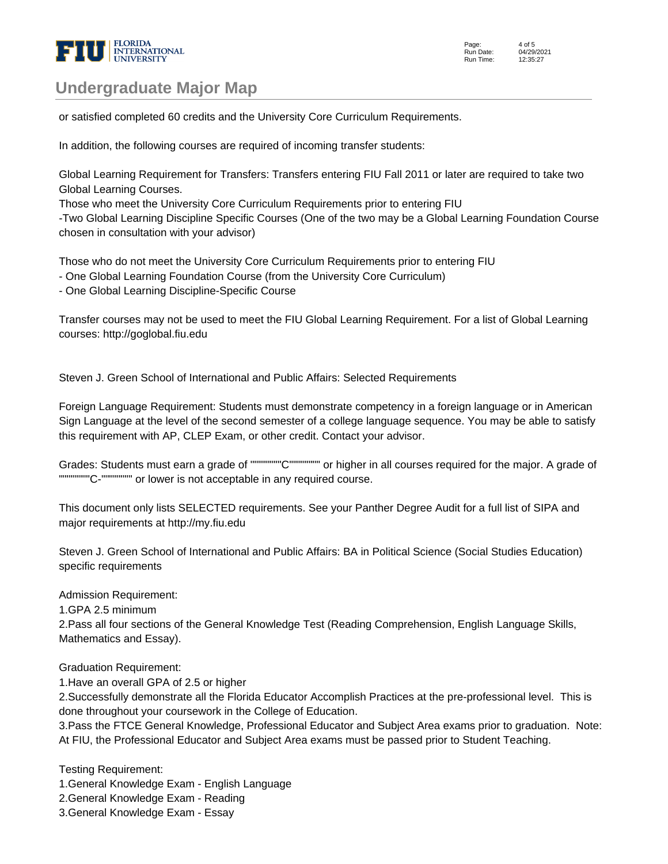

### **Undergraduate Major Map**

or satisfied completed 60 credits and the University Core Curriculum Requirements.

In addition, the following courses are required of incoming transfer students:

Global Learning Requirement for Transfers: Transfers entering FIU Fall 2011 or later are required to take two Global Learning Courses.

Those who meet the University Core Curriculum Requirements prior to entering FIU

-Two Global Learning Discipline Specific Courses (One of the two may be a Global Learning Foundation Course chosen in consultation with your advisor)

Those who do not meet the University Core Curriculum Requirements prior to entering FIU

- One Global Learning Foundation Course (from the University Core Curriculum)

- One Global Learning Discipline-Specific Course

Transfer courses may not be used to meet the FIU Global Learning Requirement. For a list of Global Learning courses: http://goglobal.fiu.edu

Steven J. Green School of International and Public Affairs: Selected Requirements

Foreign Language Requirement: Students must demonstrate competency in a foreign language or in American Sign Language at the level of the second semester of a college language sequence. You may be able to satisfy this requirement with AP, CLEP Exam, or other credit. Contact your advisor.

Grades: Students must earn a grade of """"""""C"""""""" or higher in all courses required for the major. A grade of """"""""C-"""""""" or lower is not acceptable in any required course.

This document only lists SELECTED requirements. See your Panther Degree Audit for a full list of SIPA and major requirements at http://my.fiu.edu

Steven J. Green School of International and Public Affairs: BA in Political Science (Social Studies Education) specific requirements

Admission Requirement:

1. GPA 2.5 minimum

2. Pass all four sections of the General Knowledge Test (Reading Comprehension, English Language Skills, Mathematics and Essay).

Graduation Requirement:

1. Have an overall GPA of 2.5 or higher

2. Successfully demonstrate all the Florida Educator Accomplish Practices at the pre-professional level. This is done throughout your coursework in the College of Education.

3. Pass the FTCE General Knowledge, Professional Educator and Subject Area exams prior to graduation. Note: At FIU, the Professional Educator and Subject Area exams must be passed prior to Student Teaching.

Testing Requirement:

- 1. General Knowledge Exam English Language
- 2. General Knowledge Exam Reading
- 3. General Knowledge Exam Essay